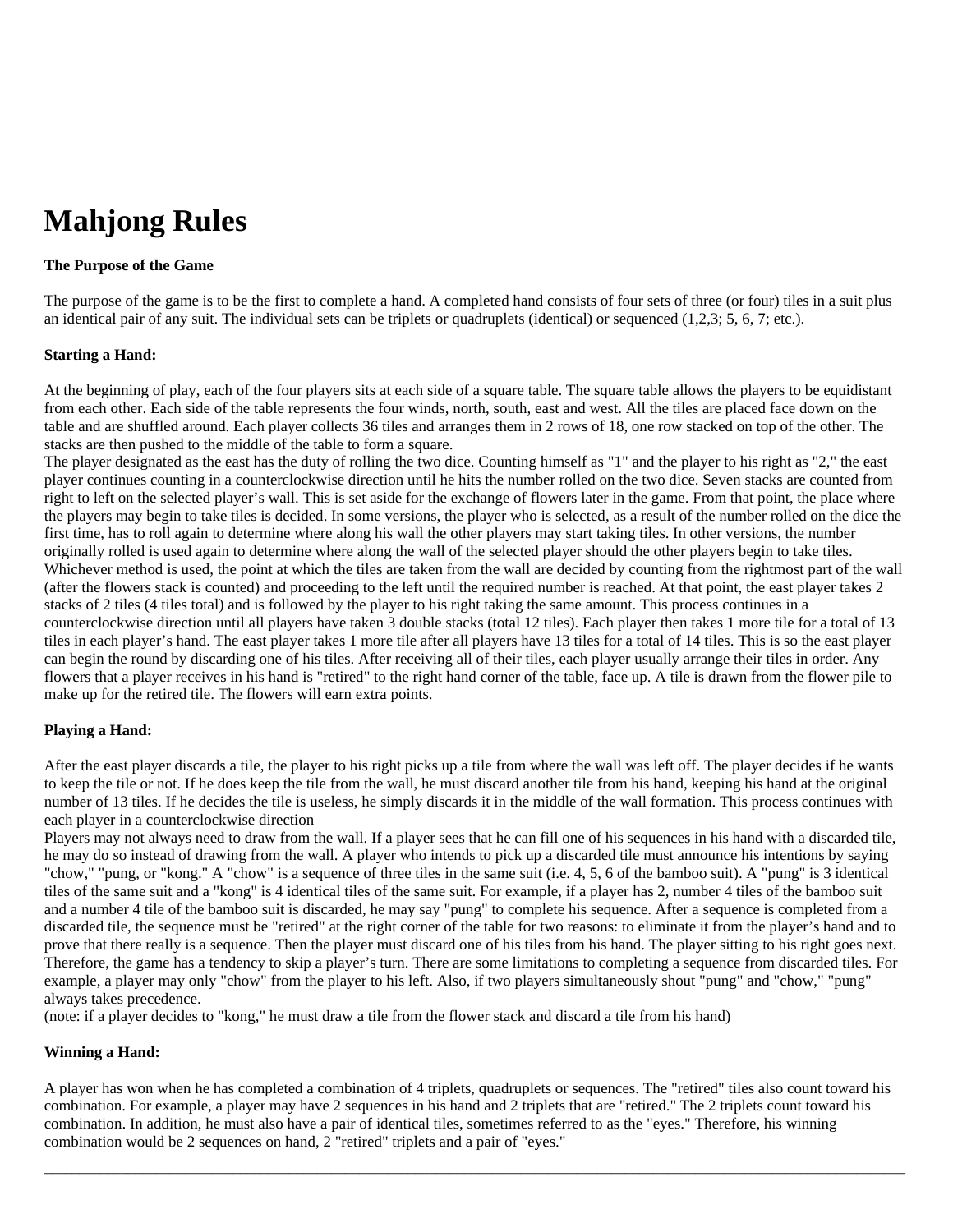# **Mahjong Rules**

## **The Purpose of the Game**

The purpose of the game is to be the first to complete a hand. A completed hand consists of four sets of three (or four) tiles in a suit plus an identical pair of any suit. The individual sets can be triplets or quadruplets (identical) or sequenced (1,2,3; 5, 6, 7; etc.).

### **Starting a Hand:**

At the beginning of play, each of the four players sits at each side of a square table. The square table allows the players to be equidistant from each other. Each side of the table represents the four winds, north, south, east and west. All the tiles are placed face down on the table and are shuffled around. Each player collects 36 tiles and arranges them in 2 rows of 18, one row stacked on top of the other. The stacks are then pushed to the middle of the table to form a square.

The player designated as the east has the duty of rolling the two dice. Counting himself as "1" and the player to his right as "2," the east player continues counting in a counterclockwise direction until he hits the number rolled on the two dice. Seven stacks are counted from right to left on the selected player's wall. This is set aside for the exchange of flowers later in the game. From that point, the place where the players may begin to take tiles is decided. In some versions, the player who is selected, as a result of the number rolled on the dice the first time, has to roll again to determine where along his wall the other players may start taking tiles. In other versions, the number originally rolled is used again to determine where along the wall of the selected player should the other players begin to take tiles. Whichever method is used, the point at which the tiles are taken from the wall are decided by counting from the rightmost part of the wall (after the flowers stack is counted) and proceeding to the left until the required number is reached. At that point, the east player takes 2 stacks of 2 tiles (4 tiles total) and is followed by the player to his right taking the same amount. This process continues in a counterclockwise direction until all players have taken 3 double stacks (total 12 tiles). Each player then takes 1 more tile for a total of 13 tiles in each player's hand. The east player takes 1 more tile after all players have 13 tiles for a total of 14 tiles. This is so the east player can begin the round by discarding one of his tiles. After receiving all of their tiles, each player usually arrange their tiles in order. Any flowers that a player receives in his hand is "retired" to the right hand corner of the table, face up. A tile is drawn from the flower pile to make up for the retired tile. The flowers will earn extra points.

### **Playing a Hand:**

After the east player discards a tile, the player to his right picks up a tile from where the wall was left off. The player decides if he wants to keep the tile or not. If he does keep the tile from the wall, he must discard another tile from his hand, keeping his hand at the original number of 13 tiles. If he decides the tile is useless, he simply discards it in the middle of the wall formation. This process continues with each player in a counterclockwise direction

Players may not always need to draw from the wall. If a player sees that he can fill one of his sequences in his hand with a discarded tile, he may do so instead of drawing from the wall. A player who intends to pick up a discarded tile must announce his intentions by saying "chow," "pung, or "kong." A "chow" is a sequence of three tiles in the same suit (i.e. 4, 5, 6 of the bamboo suit). A "pung" is 3 identical tiles of the same suit and a "kong" is 4 identical tiles of the same suit. For example, if a player has 2, number 4 tiles of the bamboo suit and a number 4 tile of the bamboo suit is discarded, he may say "pung" to complete his sequence. After a sequence is completed from a discarded tile, the sequence must be "retired" at the right corner of the table for two reasons: to eliminate it from the player's hand and to prove that there really is a sequence. Then the player must discard one of his tiles from his hand. The player sitting to his right goes next. Therefore, the game has a tendency to skip a player's turn. There are some limitations to completing a sequence from discarded tiles. For example, a player may only "chow" from the player to his left. Also, if two players simultaneously shout "pung" and "chow," "pung" always takes precedence.

(note: if a player decides to "kong," he must draw a tile from the flower stack and discard a tile from his hand)

### **Winning a Hand:**

A player has won when he has completed a combination of 4 triplets, quadruplets or sequences. The "retired" tiles also count toward his combination. For example, a player may have 2 sequences in his hand and 2 triplets that are "retired." The 2 triplets count toward his combination. In addition, he must also have a pair of identical tiles, sometimes referred to as the "eyes." Therefore, his winning combination would be 2 sequences on hand, 2 "retired" triplets and a pair of "eyes."

 $\bot$  , and the set of the set of the set of the set of the set of the set of the set of the set of the set of the set of the set of the set of the set of the set of the set of the set of the set of the set of the set of t